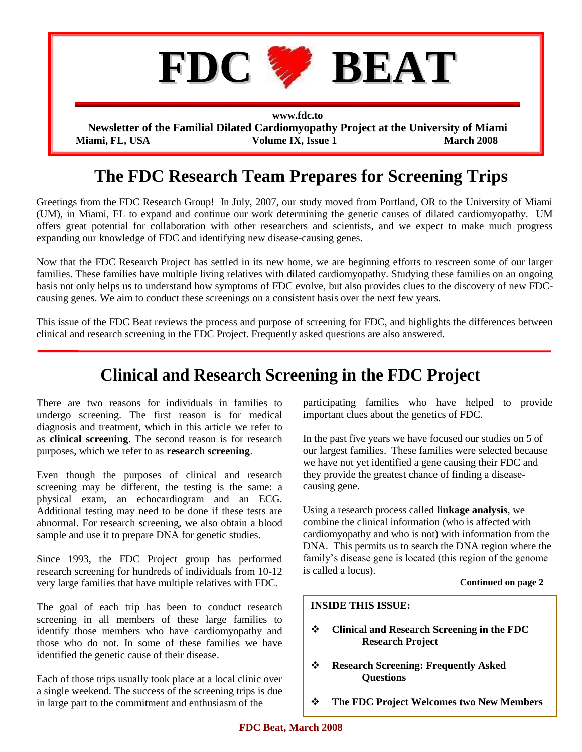

# **The FDC Research Team Prepares for Screening Trips**

Greetings from the FDC Research Group! In July, 2007, our study moved from Portland, OR to the University of Miami (UM), in Miami, FL to expand and continue our work determining the genetic causes of dilated cardiomyopathy. UM offers great potential for collaboration with other researchers and scientists, and we expect to make much progress expanding our knowledge of FDC and identifying new disease-causing genes.

Now that the FDC Research Project has settled in its new home, we are beginning efforts to rescreen some of our larger families. These families have multiple living relatives with dilated cardiomyopathy. Studying these families on an ongoing basis not only helps us to understand how symptoms of FDC evolve, but also provides clues to the discovery of new FDCcausing genes. We aim to conduct these screenings on a consistent basis over the next few years.

This issue of the FDC Beat reviews the process and purpose of screening for FDC, and highlights the differences between clinical and research screening in the FDC Project. Frequently asked questions are also answered.

# **Clinical and Research Screening in the FDC Project**

There are two reasons for individuals in families to undergo screening. The first reason is for medical diagnosis and treatment, which in this article we refer to as **clinical screening**. The second reason is for research purposes, which we refer to as **research screening**.

Even though the purposes of clinical and research screening may be different, the testing is the same: a physical exam, an echocardiogram and an ECG. Additional testing may need to be done if these tests are abnormal. For research screening, we also obtain a blood sample and use it to prepare DNA for genetic studies.

Since 1993, the FDC Project group has performed research screening for hundreds of individuals from 10-12 very large families that have multiple relatives with FDC.

The goal of each trip has been to conduct research screening in all members of these large families to identify those members who have cardiomyopathy and those who do not. In some of these families we have identified the genetic cause of their disease.

Each of those trips usually took place at a local clinic over a single weekend. The success of the screening trips is due in large part to the commitment and enthusiasm of the

participating families who have helped to provide important clues about the genetics of FDC.

In the past five years we have focused our studies on 5 of our largest families. These families were selected because we have not yet identified a gene causing their FDC and they provide the greatest chance of finding a diseasecausing gene.

Using a research process called **linkage analysis**, we combine the clinical information (who is affected with cardiomyopathy and who is not) with information from the DNA. This permits us to search the DNA region where the family's disease gene is located (this region of the genome is called a locus).

#### **Continued on page 2**

#### **INSIDE THIS ISSUE:**

- **Clinical and Research Screening in the FDC Research Project**
- **Research Screening: Frequently Asked Questions**
- **The FDC Project Welcomes two New Members**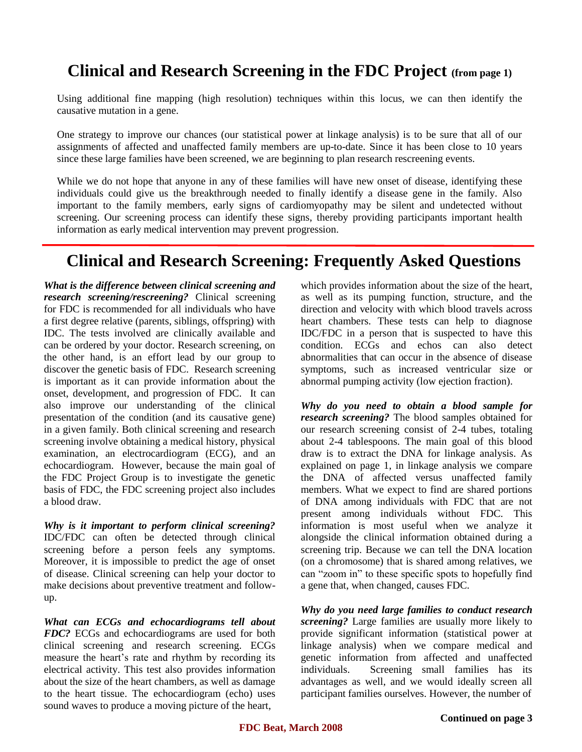# **Clinical and Research Screening in the FDC Project (from page 1)**

Using additional fine mapping (high resolution) techniques within this locus, we can then identify the causative mutation in a gene.

One strategy to improve our chances (our statistical power at linkage analysis) is to be sure that all of our assignments of affected and unaffected family members are up-to-date. Since it has been close to 10 years since these large families have been screened, we are beginning to plan research rescreening events.

While we do not hope that anyone in any of these families will have new onset of disease, identifying these individuals could give us the breakthrough needed to finally identify a disease gene in the family. Also important to the family members, early signs of cardiomyopathy may be silent and undetected without screening. Our screening process can identify these signs, thereby providing participants important health information as early medical intervention may prevent progression.

### **Clinical and Research Screening: Frequently Asked Questions**

*What is the difference between clinical screening and research screening/rescreening?* Clinical screening for FDC is recommended for all individuals who have a first degree relative (parents, siblings, offspring) with IDC. The tests involved are clinically available and can be ordered by your doctor. Research screening, on the other hand, is an effort lead by our group to discover the genetic basis of FDC. Research screening is important as it can provide information about the onset, development, and progression of FDC. It can also improve our understanding of the clinical presentation of the condition (and its causative gene) in a given family. Both clinical screening and research screening involve obtaining a medical history, physical examination, an electrocardiogram (ECG), and an echocardiogram. However, because the main goal of the FDC Project Group is to investigate the genetic basis of FDC, the FDC screening project also includes a blood draw.

*Why is it important to perform clinical screening?*  IDC/FDC can often be detected through clinical screening before a person feels any symptoms. Moreover, it is impossible to predict the age of onset of disease. Clinical screening can help your doctor to make decisions about preventive treatment and followup.

*What can ECGs and echocardiograms tell about FDC?* ECGs and echocardiograms are used for both clinical screening and research screening. ECGs measure the heart's rate and rhythm by recording its electrical activity. This test also provides information about the size of the heart chambers, as well as damage to the heart tissue. The echocardiogram (echo) uses sound waves to produce a moving picture of the heart,

which provides information about the size of the heart, as well as its pumping function, structure, and the direction and velocity with which blood travels across heart chambers. These tests can help to diagnose IDC/FDC in a person that is suspected to have this condition. ECGs and echos can also detect abnormalities that can occur in the absence of disease symptoms, such as increased ventricular size or abnormal pumping activity (low ejection fraction).

*Why do you need to obtain a blood sample for research screening?* The blood samples obtained for our research screening consist of 2-4 tubes, totaling about 2-4 tablespoons. The main goal of this blood draw is to extract the DNA for linkage analysis. As explained on page 1, in linkage analysis we compare the DNA of affected versus unaffected family members. What we expect to find are shared portions of DNA among individuals with FDC that are not present among individuals without FDC. This information is most useful when we analyze it alongside the clinical information obtained during a screening trip. Because we can tell the DNA location (on a chromosome) that is shared among relatives, we can "zoom in" to these specific spots to hopefully find a gene that, when changed, causes FDC.

*Why do you need large families to conduct research screening?* Large families are usually more likely to provide significant information (statistical power at linkage analysis) when we compare medical and genetic information from affected and unaffected individuals. Screening small families has its advantages as well, and we would ideally screen all participant families ourselves. However, the number of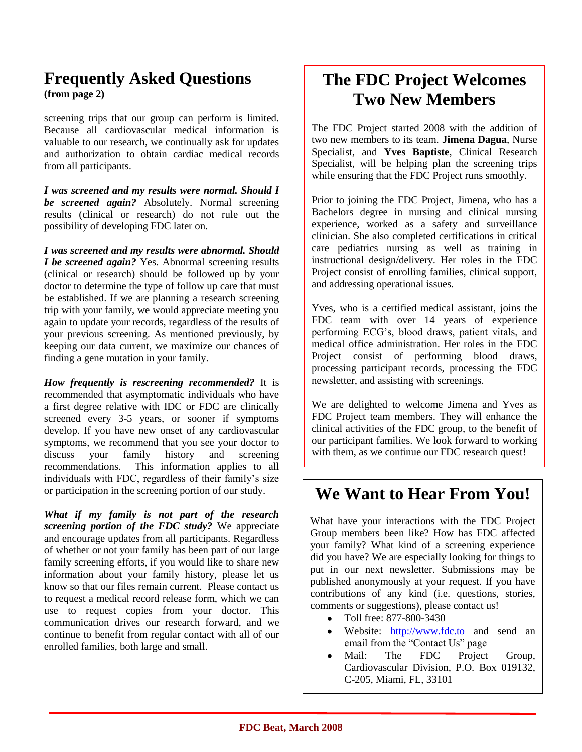### **Frequently Asked Questions (from page 2)**

screening trips that our group can perform is limited. Because all cardiovascular medical information is valuable to our research, we continually ask for updates and authorization to obtain cardiac medical records from all participants.

*I was screened and my results were normal. Should I be screened again?* Absolutely. Normal screening results (clinical or research) do not rule out the possibility of developing FDC later on.

*I was screened and my results were abnormal. Should I be screened again?* Yes. Abnormal screening results (clinical or research) should be followed up by your doctor to determine the type of follow up care that must be established. If we are planning a research screening trip with your family, we would appreciate meeting you again to update your records, regardless of the results of your previous screening. As mentioned previously, by keeping our data current, we maximize our chances of finding a gene mutation in your family.

*How frequently is rescreening recommended?* It is recommended that asymptomatic individuals who have a first degree relative with IDC or FDC are clinically screened every 3-5 years, or sooner if symptoms develop. If you have new onset of any cardiovascular symptoms, we recommend that you see your doctor to discuss your family history and screening recommendations. This information applies to all individuals with FDC, regardless of their family's size or participation in the screening portion of our study.

*What if my family is not part of the research screening portion of the FDC study?* We appreciate and encourage updates from all participants. Regardless of whether or not your family has been part of our large family screening efforts, if you would like to share new information about your family history, please let us know so that our files remain current. Please contact us to request a medical record release form, which we can use to request copies from your doctor. This communication drives our research forward, and we continue to benefit from regular contact with all of our enrolled families, both large and small.

# **The FDC Project Welcomes Two New Members**

The FDC Project started 2008 with the addition of two new members to its team. **Jimena Dagua**, Nurse Specialist, and **Yves Baptiste**, Clinical Research Specialist, will be helping plan the screening trips while ensuring that the FDC Project runs smoothly.

Prior to joining the FDC Project, Jimena, who has a Bachelors degree in nursing and clinical nursing experience, worked as a safety and surveillance clinician. She also completed certifications in critical care pediatrics nursing as well as training in instructional design/delivery. Her roles in the FDC Project consist of enrolling families, clinical support, and addressing operational issues.

Yves, who is a certified medical assistant, joins the FDC team with over 14 years of experience performing ECG's, blood draws, patient vitals, and medical office administration. Her roles in the FDC Project consist of performing blood draws, processing participant records, processing the FDC newsletter, and assisting with screenings.

We are delighted to welcome Jimena and Yves as FDC Project team members. They will enhance the clinical activities of the FDC group, to the benefit of our participant families. We look forward to working with them, as we continue our FDC research quest!

## **We Want to Hear From You!**

What have your interactions with the FDC Project Group members been like? How has FDC affected your family? What kind of a screening experience did you have? We are especially looking for things to put in our next newsletter. Submissions may be published anonymously at your request. If you have contributions of any kind (i.e. questions, stories, comments or suggestions), please contact us!

- Toll free: 877-800-3430
- Website: [http://www.fdc.to](http://www.fdc.to/) and send an email from the "Contact Us" page
- Mail: The FDC Project Group, Cardiovascular Division, P.O. Box 019132, C-205, Miami, FL, 33101